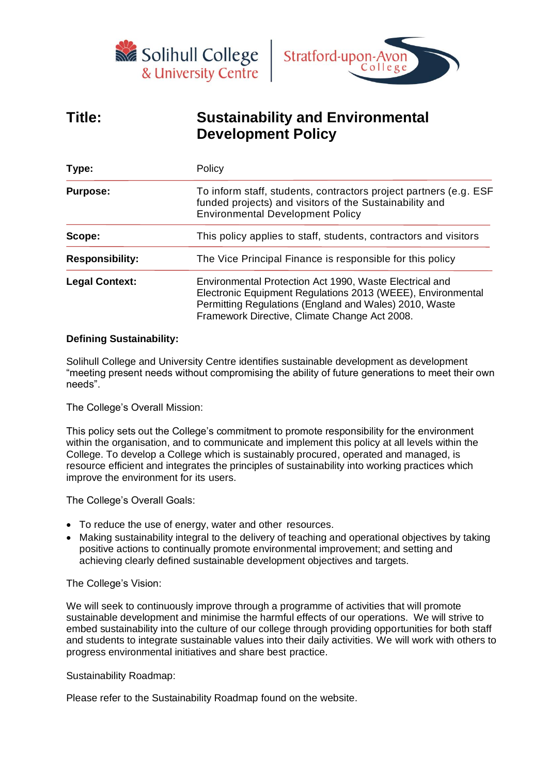



# **Title: Sustainability and Environmental Development Policy**

| Type:                  | Policy                                                                                                                                                                                                                            |  |  |
|------------------------|-----------------------------------------------------------------------------------------------------------------------------------------------------------------------------------------------------------------------------------|--|--|
| <b>Purpose:</b>        | To inform staff, students, contractors project partners (e.g. ESF<br>funded projects) and visitors of the Sustainability and<br><b>Environmental Development Policy</b>                                                           |  |  |
| Scope:                 | This policy applies to staff, students, contractors and visitors                                                                                                                                                                  |  |  |
| <b>Responsibility:</b> | The Vice Principal Finance is responsible for this policy                                                                                                                                                                         |  |  |
| <b>Legal Context:</b>  | Environmental Protection Act 1990, Waste Electrical and<br>Electronic Equipment Regulations 2013 (WEEE), Environmental<br>Permitting Regulations (England and Wales) 2010, Waste<br>Framework Directive, Climate Change Act 2008. |  |  |

## **Defining Sustainability:**

Solihull College and University Centre identifies sustainable development as development "meeting present needs without compromising the ability of future generations to meet their own needs".

The College's Overall Mission:

This policy sets out the College's commitment to promote responsibility for the environment within the organisation, and to communicate and implement this policy at all levels within the College. To develop a College which is sustainably procured, operated and managed, is resource efficient and integrates the principles of sustainability into working practices which improve the environment for its users.

The College's Overall Goals:

- To reduce the use of energy, water and other resources.
- Making sustainability integral to the delivery of teaching and operational objectives by taking positive actions to continually promote environmental improvement; and setting and achieving clearly defined sustainable development objectives and targets.

The College's Vision:

We will seek to continuously improve through a programme of activities that will promote sustainable development and minimise the harmful effects of our operations. We will strive to embed sustainability into the culture of our college through providing opportunities for both staff and students to integrate sustainable values into their daily activities. We will work with others to progress environmental initiatives and share best practice.

Sustainability Roadmap:

Please refer to the Sustainability Roadmap found on the website.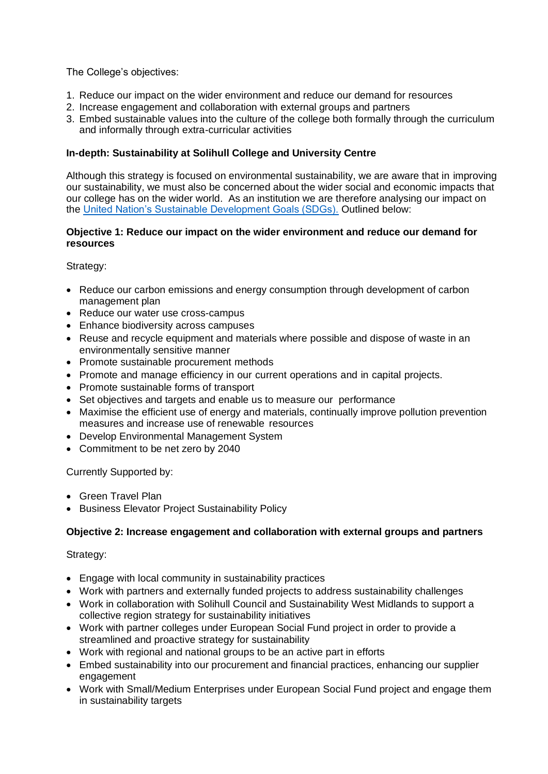The College's objectives:

- 1. Reduce our impact on the wider environment and reduce our demand for resources
- 2. Increase engagement and collaboration with external groups and partners
- 3. Embed sustainable values into the culture of the college both formally through the curriculum and informally through extra-curricular activities

### **In-depth: Sustainability at Solihull College and University Centre**

Although this strategy is focused on environmental sustainability, we are aware that in improving our sustainability, we must also be concerned about the wider social and economic impacts that our college has on the wider world. As an institution we are therefore analysing our impact on the [United Nation's Sustainable Development Goals \(SDGs\).](https://sdgs.un.org/goals) Outlined below:

#### **Objective 1: Reduce our impact on the wider environment and reduce our demand for resources**

Strategy:

- Reduce our carbon emissions and energy consumption through development of carbon management plan
- Reduce our water use cross-campus
- Enhance biodiversity across campuses
- Reuse and recycle equipment and materials where possible and dispose of waste in an environmentally sensitive manner
- Promote sustainable procurement methods
- Promote and manage efficiency in our current operations and in capital projects.
- Promote sustainable forms of transport
- Set objectives and targets and enable us to measure our performance
- Maximise the efficient use of energy and materials, continually improve pollution prevention measures and increase use of renewable resources
- Develop Environmental Management System
- Commitment to be net zero by 2040

Currently Supported by:

- Green Travel Plan
- Business Elevator Project Sustainability Policy

### **Objective 2: Increase engagement and collaboration with external groups and partners**

Strategy:

- Engage with local community in sustainability practices
- Work with partners and externally funded projects to address sustainability challenges
- Work in collaboration with Solihull Council and Sustainability West Midlands to support a collective region strategy for sustainability initiatives
- Work with partner colleges under European Social Fund project in order to provide a streamlined and proactive strategy for sustainability
- Work with regional and national groups to be an active part in efforts
- Embed sustainability into our procurement and financial practices, enhancing our supplier engagement
- Work with Small/Medium Enterprises under European Social Fund project and engage them in sustainability targets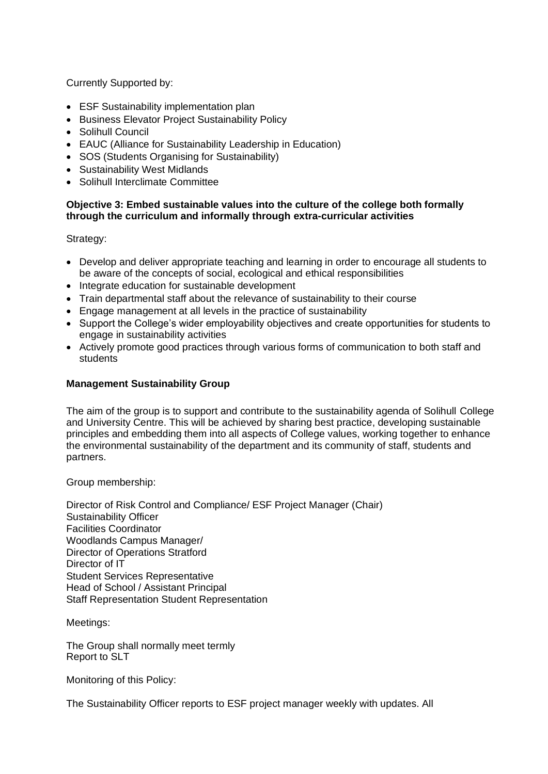Currently Supported by:

- ESF Sustainability implementation plan
- Business Elevator Project Sustainability Policy
- Solihull Council
- EAUC (Alliance for Sustainability Leadership in Education)
- SOS (Students Organising for Sustainability)
- Sustainability West Midlands
- Solihull Interclimate Committee

### **Objective 3: Embed sustainable values into the culture of the college both formally through the curriculum and informally through extra-curricular activities**

Strategy:

- Develop and deliver appropriate teaching and learning in order to encourage all students to be aware of the concepts of social, ecological and ethical responsibilities
- Integrate education for sustainable development
- Train departmental staff about the relevance of sustainability to their course
- Engage management at all levels in the practice of sustainability
- Support the College's wider employability objectives and create opportunities for students to engage in sustainability activities
- Actively promote good practices through various forms of communication to both staff and students

## **Management Sustainability Group**

The aim of the group is to support and contribute to the sustainability agenda of Solihull College and University Centre. This will be achieved by sharing best practice, developing sustainable principles and embedding them into all aspects of College values, working together to enhance the environmental sustainability of the department and its community of staff, students and partners.

Group membership:

Director of Risk Control and Compliance/ ESF Project Manager (Chair) Sustainability Officer Facilities Coordinator Woodlands Campus Manager/ Director of Operations Stratford Director of IT Student Services Representative Head of School / Assistant Principal Staff Representation Student Representation

Meetings:

The Group shall normally meet termly Report to SLT

Monitoring of this Policy:

The Sustainability Officer reports to ESF project manager weekly with updates. All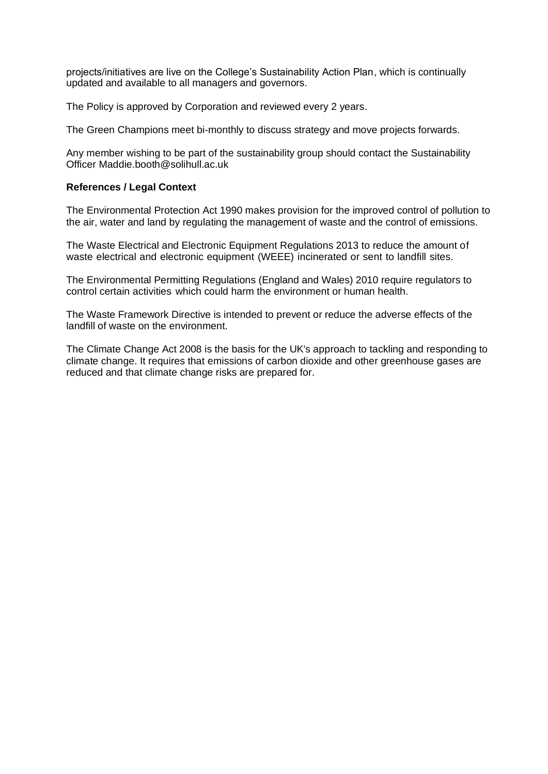projects/initiatives are live on the College's Sustainability Action Plan, which is continually updated and available to all managers and governors.

The Policy is approved by Corporation and reviewed every 2 years.

The Green Champions meet bi-monthly to discuss strategy and move projects forwards.

Any member wishing to be part of the sustainability group should contact the Sustainability Officer Maddie.booth@solihull.ac.uk

#### **References / Legal Context**

The Environmental Protection Act 1990 makes provision for the improved control of pollution to the air, water and land by regulating the management of waste and the control of emissions.

The Waste Electrical and Electronic Equipment Regulations 2013 to reduce the amount of waste electrical and electronic equipment (WEEE) incinerated or sent to landfill sites.

The Environmental Permitting Regulations (England and Wales) 2010 require regulators to control certain activities which could harm the environment or human health.

The Waste Framework Directive is intended to prevent or reduce the adverse effects of the landfill of waste on the environment.

The Climate Change Act 2008 is the basis for the UK's approach to tackling and responding to climate change. It requires that emissions of carbon dioxide and other greenhouse gases are reduced and that climate change risks are prepared for.